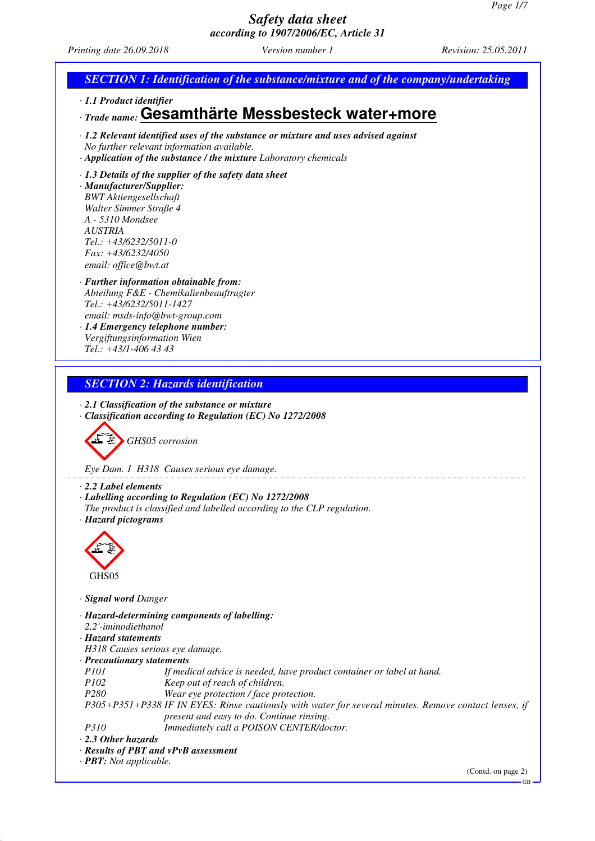*Printing date 26.09.2018 Version number 1 Revision: 25.05.2011*

## *SECTION 1: Identification of the substance/mixture and of the company/undertaking*

*· 1.1 Product identifier*

## *· Trade name:* **Gesamthärte Messbesteck water+more**

*· 1.2 Relevant identified uses of the substance or mixture and uses advised against No further relevant information available. · Application of the substance / the mixture Laboratory chemicals*

#### *· 1.3 Details of the supplier of the safety data sheet*

*· Manufacturer/Supplier: BWT Aktiengesellschaft Walter Simmer Straße 4 A - 5310 Mondsee AUSTRIA Tel.: +43/6232/5011-0 Fax: +43/6232/4050 email: office@bwt.at*

#### *· Further information obtainable from: Abteilung F&E - Chemikalienbeauftragter Tel.: +43/6232/5011-1427 email: msds-info@bwt-group.com*

*· 1.4 Emergency telephone number: Vergiftungsinformation Wien Tel.: +43/1-406 43 43*

### *SECTION 2: Hazards identification*

*· 2.1 Classification of the substance or mixture*

*· Classification according to Regulation (EC) No 1272/2008*



*Eye Dam. 1 H318 Causes serious eye damage.*

- *· 2.2 Label elements*
- *· Labelling according to Regulation (EC) No 1272/2008*
- *The product is classified and labelled according to the CLP regulation.*
- *· Hazard pictograms*



- *· Signal word Danger*
- *· Hazard-determining components of labelling:*
- *2,2'-iminodiethanol*
- *· Hazard statements*
- *H318 Causes serious eye damage.*
- *· Precautionary statements*
- *P101 If medical advice is needed, have product container or label at hand.*<br>P102 *Reep out of reach of children.*
- *Keep out of reach of children.*
- *P280 Wear eye protection / face protection.*

*P305+P351+P338 IF IN EYES: Rinse cautiously with water for several minutes. Remove contact lenses, if present and easy to do. Continue rinsing.*

*P310 Immediately call a POISON CENTER/doctor.*

*· 2.3 Other hazards*

- *· Results of PBT and vPvB assessment*
- *· PBT: Not applicable.*

(Contd. on page 2)

GB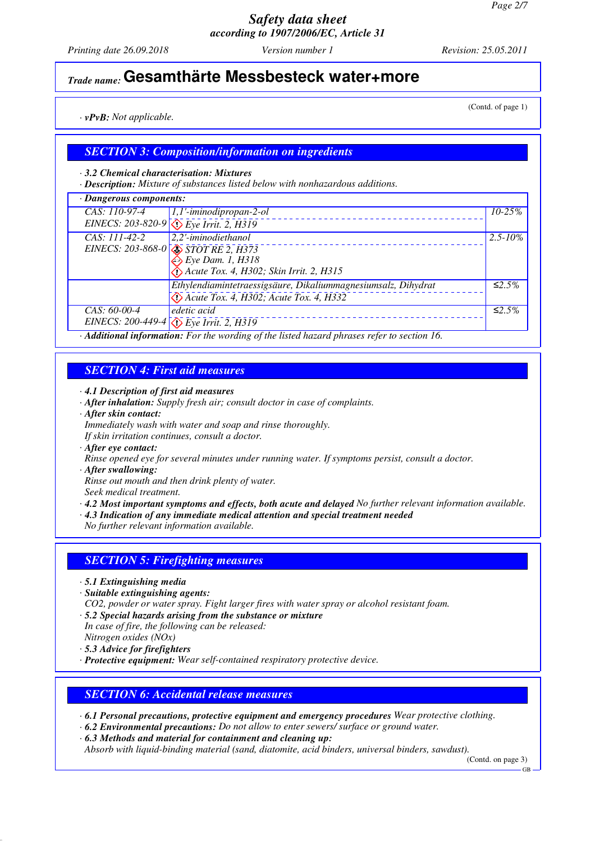*Printing date 26.09.2018 Version number 1 Revision: 25.05.2011*

# *Trade name:* **Gesamthärte Messbesteck water+more**

*· vPvB: Not applicable.*

#### *SECTION 3: Composition/information on ingredients*

*· 3.2 Chemical characterisation: Mixtures*

*· Description: Mixture of substances listed below with nonhazardous additions.*

| · Dangerous components: |                                                                                     |              |
|-------------------------|-------------------------------------------------------------------------------------|--------------|
| CAS: 110-97-4           | 1,1'-iminodipropan-2-ol                                                             | $10 - 25%$   |
|                         | EINECS: 203-820-9 $\sqrt{\sqrt{E}}$ Eye Irrit. 2, H319                              |              |
| CAS: 111-42-2           | 2,2'-iminodiethanol                                                                 | $2.5 - 10\%$ |
|                         | EINECS: 203-868-0 $\sqrt{\sqrt{STOTRE2, H373}}$                                     |              |
|                         | $\xi$ Eye Dam. 1, H318                                                              |              |
|                         | Acute Tox. 4, H302; Skin Irrit. 2, H315                                             |              |
|                         | Ethylendiamintetraessigsäure, Dikaliummagnesiumsalz, Dihydrat                       | ≤2.5%        |
|                         | $\bigotimes$ Acute Tox. 4, H302; Acute Tox. 4, H332                                 |              |
| $CAS: 60-00-4$          | edetic acid                                                                         | ≤2.5%        |
|                         | EINECS: 200-449-4 $\langle \rangle$ Eye Irrit. 2, H319<br>$\mathbf{1}$ $\mathbf{1}$ |              |

*· Additional information: For the wording of the listed hazard phrases refer to section 16.*

#### *SECTION 4: First aid measures*

*· 4.1 Description of first aid measures*

- *· After inhalation: Supply fresh air; consult doctor in case of complaints.*
- *· After skin contact:*

*Immediately wash with water and soap and rinse thoroughly.*

*If skin irritation continues, consult a doctor.*

*· After eye contact:*

*Rinse opened eye for several minutes under running water. If symptoms persist, consult a doctor.*

*· After swallowing:*

*Rinse out mouth and then drink plenty of water.*

*Seek medical treatment.*

- *· 4.2 Most important symptoms and effects, both acute and delayed No further relevant information available.*
- *· 4.3 Indication of any immediate medical attention and special treatment needed*

*No further relevant information available.*

#### *SECTION 5: Firefighting measures*

- *· 5.1 Extinguishing media*
- *· Suitable extinguishing agents:*
- *CO2, powder or water spray. Fight larger fires with water spray or alcohol resistant foam.*
- *· 5.2 Special hazards arising from the substance or mixture In case of fire, the following can be released:*
- *Nitrogen oxides (NOx)*
- *· 5.3 Advice for firefighters*
- *· Protective equipment: Wear self-contained respiratory protective device.*

#### *SECTION 6: Accidental release measures*

*· 6.1 Personal precautions, protective equipment and emergency procedures Wear protective clothing.*

- *· 6.2 Environmental precautions: Do not allow to enter sewers/ surface or ground water.*
- *· 6.3 Methods and material for containment and cleaning up:*

*Absorb with liquid-binding material (sand, diatomite, acid binders, universal binders, sawdust).*

(Contd. on page 3)

GB

(Contd. of page 1)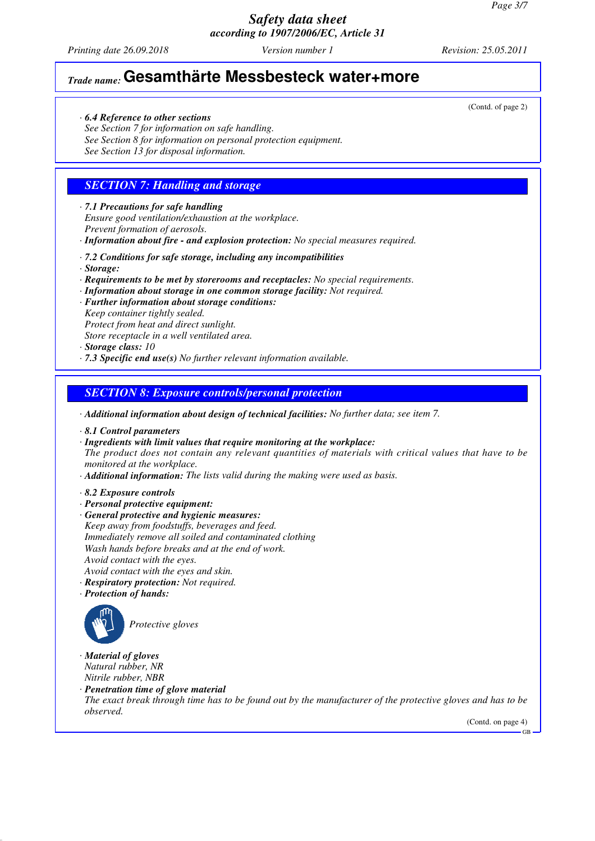*Printing date 26.09.2018 Version number 1 Revision: 25.05.2011*

# *Trade name:* **Gesamthärte Messbesteck water+more**

- *· 6.4 Reference to other sections*
- *See Section 7 for information on safe handling.*
- *See Section 8 for information on personal protection equipment.*

*See Section 13 for disposal information.*

## *SECTION 7: Handling and storage*

- *· 7.1 Precautions for safe handling Ensure good ventilation/exhaustion at the workplace. Prevent formation of aerosols.*
- *· Information about fire and explosion protection: No special measures required.*
- *· 7.2 Conditions for safe storage, including any incompatibilities*
- *· Storage:*
- *· Requirements to be met by storerooms and receptacles: No special requirements.*
- *· Information about storage in one common storage facility: Not required.*
- *· Further information about storage conditions: Keep container tightly sealed.*
- *Protect from heat and direct sunlight. Store receptacle in a well ventilated area.*
- 
- *· Storage class: 10*
- *· 7.3 Specific end use(s) No further relevant information available.*

#### *SECTION 8: Exposure controls/personal protection*

*· Additional information about design of technical facilities: No further data; see item 7.*

- *· 8.1 Control parameters*
- *· Ingredients with limit values that require monitoring at the workplace:*

*The product does not contain any relevant quantities of materials with critical values that have to be monitored at the workplace.*

- *· Additional information: The lists valid during the making were used as basis.*
- *· 8.2 Exposure controls*
- *· Personal protective equipment:*
- *· General protective and hygienic measures: Keep away from foodstuffs, beverages and feed. Immediately remove all soiled and contaminated clothing Wash hands before breaks and at the end of work. Avoid contact with the eyes. Avoid contact with the eyes and skin.*
- *· Respiratory protection: Not required.*
- *· Protection of hands:*



*Protective gloves*

- *· Material of gloves Natural rubber, NR Nitrile rubber, NBR*
- *· Penetration time of glove material*
- *The exact break through time has to be found out by the manufacturer of the protective gloves and has to be observed.*

(Contd. on page 4)

GB

(Contd. of page 2)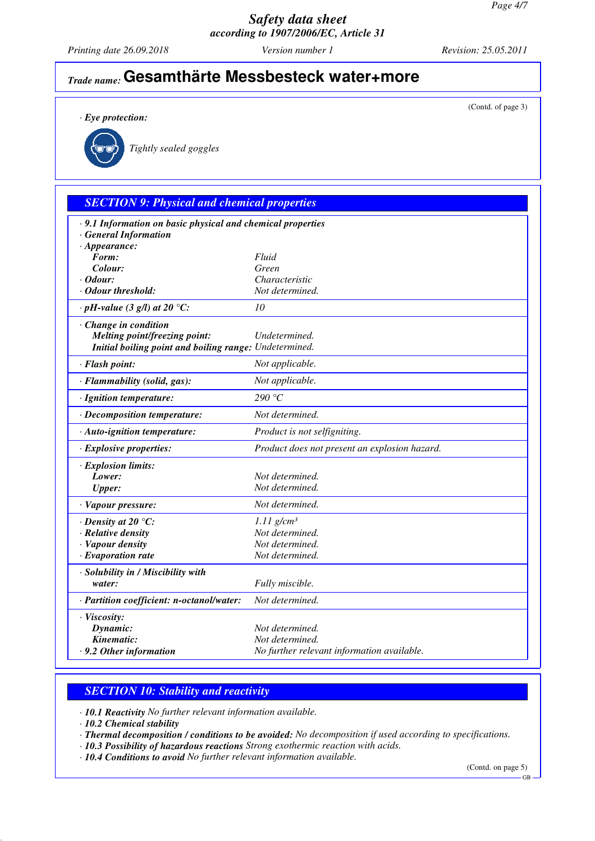*Printing date 26.09.2018 Version number 1 Revision: 25.05.2011*

(Contd. of page 3)

# *Trade name:* **Gesamthärte Messbesteck water+more**

*· Eye protection:*



*Tightly sealed goggles*

## *SECTION 9: Physical and chemical properties*

| · 9.1 Information on basic physical and chemical properties |                                               |
|-------------------------------------------------------------|-----------------------------------------------|
| <b>General Information</b>                                  |                                               |
| $\cdot$ Appearance:<br>Form:                                | Fluid                                         |
| Colour:                                                     | Green                                         |
| $\cdot$ Odour:                                              | Characteristic                                |
| · Odour threshold:                                          | Not determined.                               |
|                                                             |                                               |
| $\cdot$ pH-value (3 g/l) at 20 °C:                          | 10                                            |
| · Change in condition                                       |                                               |
| Melting point/freezing point:                               | Undetermined.                                 |
| Initial boiling point and boiling range: Undetermined.      |                                               |
| · Flash point:                                              | Not applicable.                               |
| · Flammability (solid, gas):                                | Not applicable.                               |
| · Ignition temperature:                                     | 290 $\degree$ C                               |
| · Decomposition temperature:                                | Not determined.                               |
| $\cdot$ Auto-ignition temperature:                          | Product is not selfigniting.                  |
| $\cdot$ Explosive properties:                               | Product does not present an explosion hazard. |
| · Explosion limits:                                         |                                               |
| Lower:                                                      | Not determined.                               |
| <b>Upper:</b>                                               | Not determined.                               |
| · Vapour pressure:                                          | Not determined.                               |
| $\cdot$ Density at 20 $\degree$ C:                          | $1.11$ g/cm <sup>3</sup>                      |
| · Relative density                                          | Not determined.                               |
| · Vapour density                                            | Not determined.                               |
| $\cdot$ Evaporation rate                                    | Not determined.                               |
| · Solubility in / Miscibility with                          |                                               |
| water:                                                      | Fully miscible.                               |
| · Partition coefficient: n-octanol/water:                   | Not determined.                               |
| · Viscosity:                                                |                                               |
| Dynamic:                                                    | Not determined.                               |
| Kinematic:                                                  | Not determined.                               |
| . 9.2 Other information                                     | No further relevant information available.    |
|                                                             |                                               |

#### *SECTION 10: Stability and reactivity*

*· 10.1 Reactivity No further relevant information available.*

*· 10.2 Chemical stability*

*· Thermal decomposition / conditions to be avoided: No decomposition if used according to specifications.*

*· 10.3 Possibility of hazardous reactions Strong exothermic reaction with acids.*

*· 10.4 Conditions to avoid No further relevant information available.*

(Contd. on page 5)

GB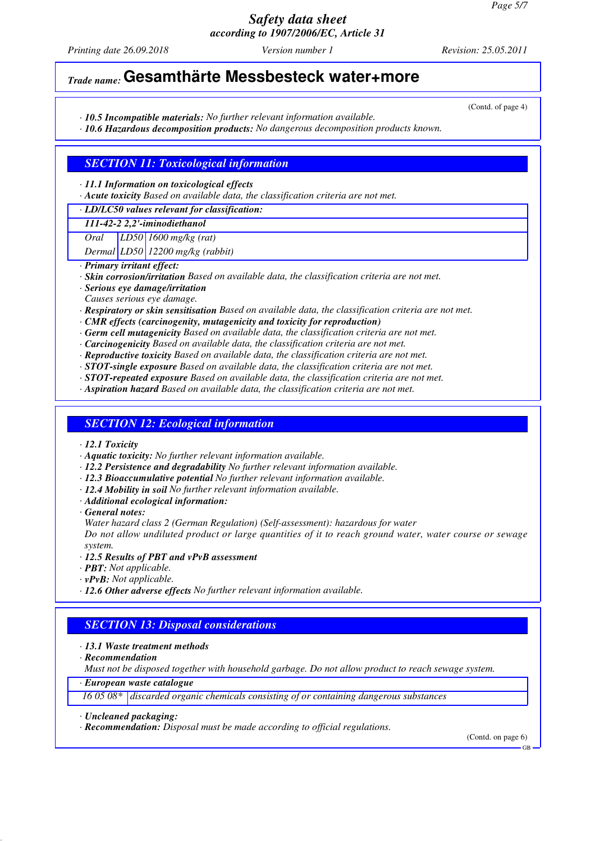*Printing date 26.09.2018 Version number 1 Revision: 25.05.2011*

(Contd. of page 4)

# *Trade name:* **Gesamthärte Messbesteck water+more**

*· 10.5 Incompatible materials: No further relevant information available.*

*· 10.6 Hazardous decomposition products: No dangerous decomposition products known.*

#### *SECTION 11: Toxicological information*

*· 11.1 Information on toxicological effects*

*· Acute toxicity Based on available data, the classification criteria are not met.*

#### *· LD/LC50 values relevant for classification:*

*111-42-2 2,2'-iminodiethanol*

*Oral LD50 1600 mg/kg (rat)*

*Dermal LD50 12200 mg/kg (rabbit)*

- *· Primary irritant effect:*
- *· Skin corrosion/irritation Based on available data, the classification criteria are not met.*
- *· Serious eye damage/irritation*
- *Causes serious eye damage.*
- *· Respiratory or skin sensitisation Based on available data, the classification criteria are not met.*
- *· CMR effects (carcinogenity, mutagenicity and toxicity for reproduction)*
- *· Germ cell mutagenicity Based on available data, the classification criteria are not met.*
- *· Carcinogenicity Based on available data, the classification criteria are not met.*
- *· Reproductive toxicity Based on available data, the classification criteria are not met.*
- *· STOT-single exposure Based on available data, the classification criteria are not met.*
- *· STOT-repeated exposure Based on available data, the classification criteria are not met.*
- *· Aspiration hazard Based on available data, the classification criteria are not met.*

#### *SECTION 12: Ecological information*

- *· 12.1 Toxicity*
- *· Aquatic toxicity: No further relevant information available.*
- *· 12.2 Persistence and degradability No further relevant information available.*
- *· 12.3 Bioaccumulative potential No further relevant information available.*
- *· 12.4 Mobility in soil No further relevant information available.*
- *· Additional ecological information:*
- *· General notes:*
- *Water hazard class 2 (German Regulation) (Self-assessment): hazardous for water*

*Do not allow undiluted product or large quantities of it to reach ground water, water course or sewage system.*

- *· 12.5 Results of PBT and vPvB assessment*
- *· PBT: Not applicable.*
- *· vPvB: Not applicable.*
- *· 12.6 Other adverse effects No further relevant information available.*

## *SECTION 13: Disposal considerations*

- *· 13.1 Waste treatment methods*
- *· Recommendation*

*Must not be disposed together with household garbage. Do not allow product to reach sewage system.*

*· European waste catalogue*

*16 05 08\* discarded organic chemicals consisting of or containing dangerous substances*

(Contd. on page 6)

*<sup>·</sup> Uncleaned packaging:*

*<sup>·</sup> Recommendation: Disposal must be made according to official regulations.*

GB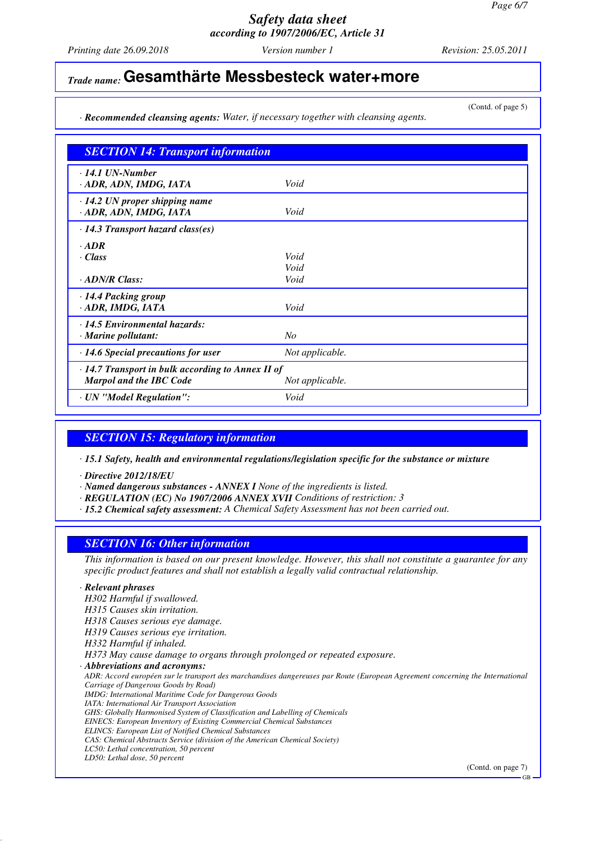*Printing date 26.09.2018 Version number 1 Revision: 25.05.2011*

(Contd. of page 5)

## *Trade name:* **Gesamthärte Messbesteck water+more**

*· Recommended cleansing agents: Water, if necessary together with cleansing agents.*

| <b>SECTION 14: Transport information</b>                                                  |                 |  |
|-------------------------------------------------------------------------------------------|-----------------|--|
| $\cdot$ 14.1 UN-Number<br>· ADR, ADN, IMDG, IATA                                          | Void            |  |
| $\cdot$ 14.2 UN proper shipping name<br>· ADR, ADN, IMDG, IATA                            | Void            |  |
| $\cdot$ 14.3 Transport hazard class(es)                                                   |                 |  |
| $\cdot$ ADR<br>$\cdot Class$                                                              | Void<br>Void    |  |
| $\cdot$ ADN/R Class:                                                                      | Void            |  |
| · 14.4 Packing group<br>· ADR, IMDG, IATA                                                 | Void            |  |
| · 14.5 Environmental hazards:<br>· Marine pollutant:                                      | N <sub>o</sub>  |  |
| $\cdot$ 14.6 Special precautions for user                                                 | Not applicable. |  |
| $\cdot$ 14.7 Transport in bulk according to Annex II of<br><b>Marpol and the IBC Code</b> | Not applicable. |  |
| · UN "Model Regulation":                                                                  | Void            |  |

## *SECTION 15: Regulatory information*

*· 15.1 Safety, health and environmental regulations/legislation specific for the substance or mixture*

*· Directive 2012/18/EU*

- *· Named dangerous substances ANNEX I None of the ingredients is listed.*
- *· REGULATION (EC) No 1907/2006 ANNEX XVII Conditions of restriction: 3*
- *· 15.2 Chemical safety assessment: A Chemical Safety Assessment has not been carried out.*

#### *SECTION 16: Other information*

*This information is based on our present knowledge. However, this shall not constitute a guarantee for any specific product features and shall not establish a legally valid contractual relationship.*

#### *· Relevant phrases*

*H302 Harmful if swallowed. H315 Causes skin irritation. H318 Causes serious eye damage. H319 Causes serious eye irritation. H332 Harmful if inhaled. H373 May cause damage to organs through prolonged or repeated exposure. · Abbreviations and acronyms: ADR: Accord européen sur le transport des marchandises dangereuses par Route (European Agreement concerning the International Carriage of Dangerous Goods by Road) IMDG: International Maritime Code for Dangerous Goods IATA: International Air Transport Association GHS: Globally Harmonised System of Classification and Labelling of Chemicals EINECS: European Inventory of Existing Commercial Chemical Substances ELINCS: European List of Notified Chemical Substances CAS: Chemical Abstracts Service (division of the American Chemical Society) LC50: Lethal concentration, 50 percent LD50: Lethal dose, 50 percent*